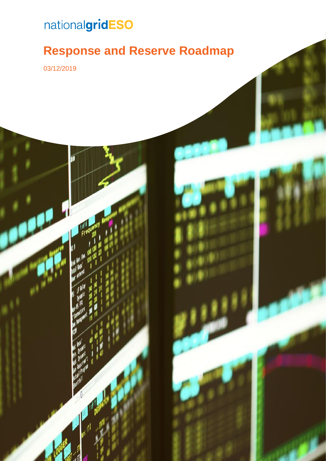# nationalgridESO

### **Response and Reserve Roadmap**

| Response and Reserve Roadmap 0

03/12/2019

ł

í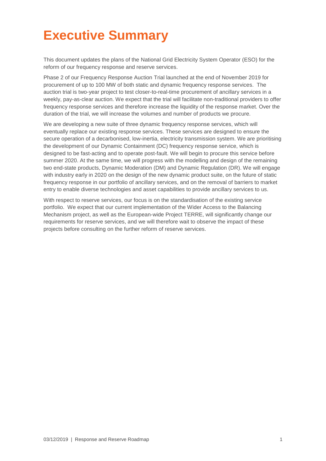### <span id="page-1-0"></span>**Executive Summary**

This document updates the plans of the National Grid Electricity System Operator (ESO) for the reform of our frequency response and reserve services.

Phase 2 of our Frequency Response Auction Trial launched at the end of November 2019 for procurement of up to 100 MW of both static and dynamic frequency response services. The auction trial is two-year project to test closer-to-real-time procurement of ancillary services in a weekly, pay-as-clear auction. We expect that the trial will facilitate non-traditional providers to offer frequency response services and therefore increase the liquidity of the response market. Over the duration of the trial, we will increase the volumes and number of products we procure.

We are developing a new suite of three dynamic frequency response services, which will eventually replace our existing response services. These services are designed to ensure the secure operation of a decarbonised, low-inertia, electricity transmission system. We are prioritising the development of our Dynamic Containment (DC) frequency response service, which is designed to be fast-acting and to operate post-fault. We will begin to procure this service before summer 2020. At the same time, we will progress with the modelling and design of the remaining two end-state products, Dynamic Moderation (DM) and Dynamic Regulation (DR). We will engage with industry early in 2020 on the design of the new dynamic product suite, on the future of static frequency response in our portfolio of ancillary services, and on the removal of barriers to market entry to enable diverse technologies and asset capabilities to provide ancillary services to us.

With respect to reserve services, our focus is on the standardisation of the existing service portfolio. We expect that our current implementation of the Wider Access to the Balancing Mechanism project, as well as the European-wide Project TERRE, will significantly change our requirements for reserve services, and we will therefore wait to observe the impact of these projects before consulting on the further reform of reserve services.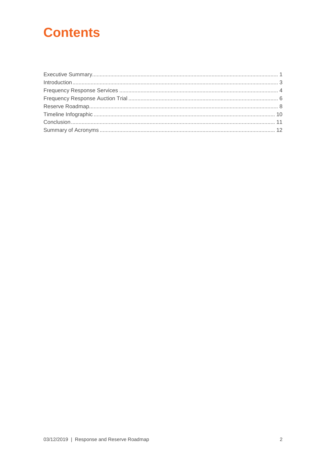### **Contents**

| Introduction 1, 3 |  |
|-------------------|--|
|                   |  |
|                   |  |
|                   |  |
|                   |  |
|                   |  |
|                   |  |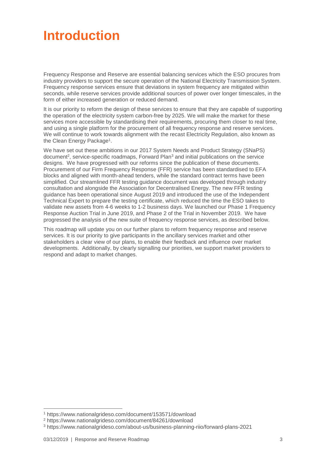### <span id="page-3-0"></span>**Introduction**

Frequency Response and Reserve are essential balancing services which the ESO procures from industry providers to support the secure operation of the National Electricity Transmission System. Frequency response services ensure that deviations in system frequency are mitigated within seconds, while reserve services provide additional sources of power over longer timescales, in the form of either increased generation or reduced demand.

It is our priority to reform the design of these services to ensure that they are capable of supporting the operation of the electricity system carbon-free by 2025. We will make the market for these services more accessible by standardising their requirements, procuring them closer to real time, and using a single platform for the procurement of all frequency response and reserve services. We will continue to work towards alignment with the recast Electricity Regulation, also known as the Clean Energy Package<sup>1</sup>.

We have set out these ambitions in our 2017 System Needs and Product Strategy (SNaPS) document<sup>2</sup>, service-specific roadmaps, Forward Plan<sup>3</sup> and initial publications on the service designs. We have progressed with our reforms since the publication of these documents. Procurement of our Firm Frequency Response (FFR) service has been standardised to EFA blocks and aligned with month-ahead tenders, while the standard contract terms have been simplified. Our streamlined FFR testing guidance document was developed through industry consultation and alongside the Association for Decentralised Energy. The new FFR testing guidance has been operational since August 2019 and introduced the use of the Independent Technical Expert to prepare the testing certificate, which reduced the time the ESO takes to validate new assets from 4-6 weeks to 1-2 business days. We launched our Phase 1 Frequency Response Auction Trial in June 2019, and Phase 2 of the Trial in November 2019. We have progressed the analysis of the new suite of frequency response services, as described below.

This roadmap will update you on our further plans to reform frequency response and reserve services. It is our priority to give participants in the ancillary services market and other stakeholders a clear view of our plans, to enable their feedback and influence over market developments. Additionally, by clearly signalling our priorities, we support market providers to respond and adapt to market changes.

 $\overline{a}$ 

<sup>1</sup> https://www.nationalgrideso.com/document/153571/download

<sup>2</sup> <https://www.nationalgrideso.com/document/84261/download>

<sup>3</sup> https://www.nationalgrideso.com/about-us/business-planning-riio/forward-plans-2021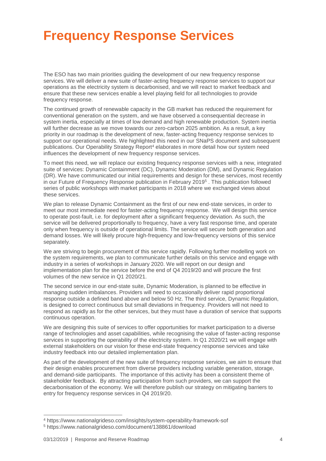### <span id="page-4-0"></span>**Frequency Response Services**

The ESO has two main priorities guiding the development of our new frequency response services. We will deliver a new suite of faster-acting frequency response services to support our operations as the electricity system is decarbonised, and we will react to market feedback and ensure that these new services enable a level playing field for all technologies to provide frequency response.

The continued growth of renewable capacity in the GB market has reduced the requirement for conventional generation on the system, and we have observed a consequential decrease in system inertia, especially at times of low demand and high renewable production. System inertia will further decrease as we move towards our zero-carbon 2025 ambition. As a result, a key priority in our roadmap is the development of new, faster-acting frequency response services to support our operational needs. We highlighted this need in our SNaPS document and subsequent publications. Our Operability Strategy Report<sup>4</sup> elaborates in more detail how our system need influences the development of new frequency response services.

To meet this need, we will replace our existing frequency response services with a new, integrated suite of services: Dynamic Containment (DC), Dynamic Moderation (DM), and Dynamic Regulation (DR). We have communicated our initial requirements and design for these services, most recently in our Future of Frequency Response publication in February 2019<sup>5</sup> . This publication followed series of public workshops with market participants in 2018 where we exchanged views about these services.

We plan to release Dynamic Containment as the first of our new end-state services, in order to meet our most immediate need for faster-acting frequency response. We will design this service to operate post-fault, i.e. for deployment after a significant frequency deviation. As such, the service will be delivered proportionally to frequency, have a very fast response time, and operate only when frequency is outside of operational limits. The service will secure both generation and demand losses. We will likely procure high-frequency and low-frequency versions of this service separately.

We are striving to begin procurement of this service rapidly. Following further modelling work on the system requirements, we plan to communicate further details on this service and engage with industry in a series of workshops in January 2020. We will report on our design and implementation plan for the service before the end of Q4 2019/20 and will procure the first volumes of the new service in Q1 2020/21.

The second service in our end-state suite, Dynamic Moderation, is planned to be effective in managing sudden imbalances. Providers will need to occasionally deliver rapid proportional response outside a defined band above and below 50 Hz. The third service, Dynamic Regulation, is designed to correct continuous but small deviations in frequency. Providers will not need to respond as rapidly as for the other services, but they must have a duration of service that supports continuous operation.

We are designing this suite of services to offer opportunities for market participation to a diverse range of technologies and asset capabilities, while recognising the value of faster-acting response services in supporting the operability of the electricity system. In Q1 2020/21 we will engage with external stakeholders on our vision for these end-state frequency response services and take industry feedback into our detailed implementation plan.

As part of the development of the new suite of frequency response services, we aim to ensure that their design enables procurement from diverse providers including variable generation, storage, and demand-side participants. The importance of this activity has been a consistent theme of stakeholder feedback. By attracting participation from such providers, we can support the decarbonisation of the economy. We will therefore publish our strategy on mitigating barriers to entry for frequency response services in Q4 2019/20.

 $\overline{a}$ 

<sup>4</sup> https://www.nationalgrideso.com/insights/system-operability-framework-sof

<sup>5</sup> https://www.nationalgrideso.com/document/138861/download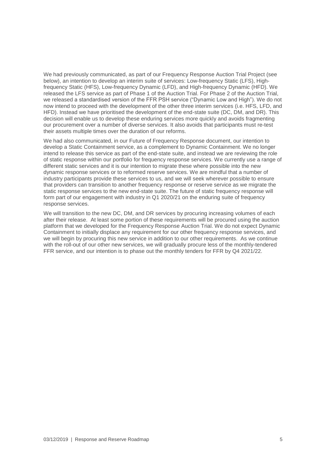We had previously communicated, as part of our Frequency Response Auction Trial Project (see below), an intention to develop an interim suite of services: Low-frequency Static (LFS), Highfrequency Static (HFS), Low-frequency Dynamic (LFD), and High-frequency Dynamic (HFD). We released the LFS service as part of Phase 1 of the Auction Trial. For Phase 2 of the Auction Trial, we released a standardised version of the FFR PSH service ("Dynamic Low and High"). We do not now intend to proceed with the development of the other three interim services (i.e. HFS, LFD, and HFD). Instead we have prioritised the development of the end-state suite (DC, DM, and DR). This decision will enable us to develop these enduring services more quickly and avoids fragmenting our procurement over a number of diverse services. It also avoids that participants must re-test their assets multiple times over the duration of our reforms.

We had also communicated, in our Future of Frequency Response document, our intention to develop a Static Containment service, as a complement to Dynamic Containment. We no longer intend to release this service as part of the end-state suite, and instead we are reviewing the role of static response within our portfolio for frequency response services. We currently use a range of different static services and it is our intention to migrate these where possible into the new dynamic response services or to reformed reserve services. We are mindful that a number of industry participants provide these services to us, and we will seek wherever possible to ensure that providers can transition to another frequency response or reserve service as we migrate the static response services to the new end-state suite. The future of static frequency response will form part of our engagement with industry in Q1 2020/21 on the enduring suite of frequency response services.

We will transition to the new DC, DM, and DR services by procuring increasing volumes of each after their release. At least some portion of these requirements will be procured using the auction platform that we developed for the Frequency Response Auction Trial. We do not expect Dynamic Containment to initially displace any requirement for our other frequency response services, and we will begin by procuring this new service in addition to our other requirements. As we continue with the roll-out of our other new services, we will gradually procure less of the monthly-tendered FFR service, and our intention is to phase out the monthly tenders for FFR by Q4 2021/22.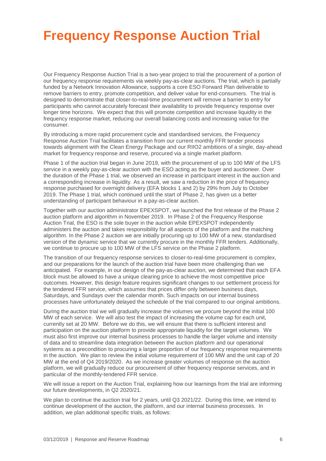### <span id="page-6-0"></span>**Frequency Response Auction Trial**

Our Frequency Response Auction Trial is a two-year project to trial the procurement of a portion of our frequency response requirements via weekly pay-as-clear auctions. The trial, which is partially funded by a Network Innovation Allowance, supports a core ESO Forward Plan deliverable to remove barriers to entry, promote competition, and deliver value for end-consumers. The trial is designed to demonstrate that closer-to-real-time procurement will remove a barrier to entry for participants who cannot accurately forecast their availability to provide frequency response over longer time horizons. We expect that this will promote competition and increase liquidity in the frequency response market, reducing our overall balancing costs and increasing value for the consumer.

By introducing a more rapid procurement cycle and standardised services, the Frequency Response Auction Trial facilitates a transition from our current monthly FFR tender process towards alignment with the Clean Energy Package and our RIIO2 ambitions of a single, day-ahead market for frequency response and reserve, procured via a single market platform.

Phase 1 of the auction trial began in June 2019, with the procurement of up to 100 MW of the LFS service in a weekly pay-as-clear auction with the ESO acting as the buyer and auctioneer. Over the duration of the Phase 1 trial, we observed an increase in participant interest in the auction and a corresponding increase in liquidity. As a result, we saw a reduction in the price of frequency response purchased for overnight delivery (EFA blocks 1 and 2) by 29% from July to October 2019. The Phase 1 trial, which continued until the start of Phase 2, has given us a better understanding of participant behaviour in a pay-as-clear auction.

Together with our auction administrator EPEXSPOT, we launched the first release of the Phase 2 auction platform and algorithm in November 2019. In Phase 2 of the Frequency Response Auction Trial, the ESO is the sole buyer in the auction while EPEXSPOT independently administers the auction and takes responsibility for all aspects of the platform and the matching algorithm. In the Phase 2 auction we are initially procuring up to 100 MW of a new, standardised version of the dynamic service that we currently procure in the monthly FFR tenders. Additionally, we continue to procure up to 100 MW of the LFS service on the Phase 2 platform.

The transition of our frequency response services to closer-to-real-time procurement is complex, and our preparations for the launch of the auction trial have been more challenging than we anticipated. For example, in our design of the pay-as-clear auction, we determined that each EFA block must be allowed to have a unique clearing price to achieve the most competitive price outcomes. However, this design feature requires significant changes to our settlement process for the tendered FFR service, which assumes that prices differ only between business days, Saturdays, and Sundays over the calendar month. Such impacts on our internal business processes have unfortunately delayed the schedule of the trial compared to our original ambitions.

During the auction trial we will gradually increase the volumes we procure beyond the initial 100 MW of each service. We will also test the impact of increasing the volume cap for each unit, currently set at 20 MW. Before we do this, we will ensure that there is sufficient interest and participation on the auction platform to provide appropriate liquidity for the target volumes. We must also first improve our internal business processes to handle the larger volume and intensity of data and to streamline data integration between the auction platform and our operational systems as a precondition to procuring a larger proportion of our frequency response requirements in the auction. We plan to review the initial volume requirement of 100 MW and the unit cap of 20 MW at the end of Q4 2019/2020. As we increase greater volumes of response on the auction platform, we will gradually reduce our procurement of other frequency response services, and in particular of the monthly-tendered FFR service.

We will issue a report on the Auction Trial, explaining how our learnings from the trial are informing our future developments, in Q2 2020/21.

We plan to continue the auction trial for 2 years, until Q3 2021/22. During this time, we intend to continue development of the auction, the platform, and our internal business processes. In addition, we plan additional specific trials, as follows: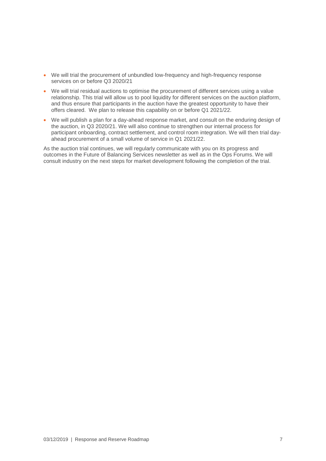- We will trial the procurement of unbundled low-frequency and high-frequency response services on or before Q3 2020/21
- We will trial residual auctions to optimise the procurement of different services using a value relationship. This trial will allow us to pool liquidity for different services on the auction platform, and thus ensure that participants in the auction have the greatest opportunity to have their offers cleared. We plan to release this capability on or before Q1 2021/22.
- We will publish a plan for a day-ahead response market, and consult on the enduring design of the auction, in Q3 2020/21. We will also continue to strengthen our internal process for participant onboarding, contract settlement, and control room integration. We will then trial dayahead procurement of a small volume of service in Q1 2021/22.

As the auction trial continues, we will regularly communicate with you on its progress and outcomes in the Future of Balancing Services newsletter as well as in the Ops Forums. We will consult industry on the next steps for market development following the completion of the trial.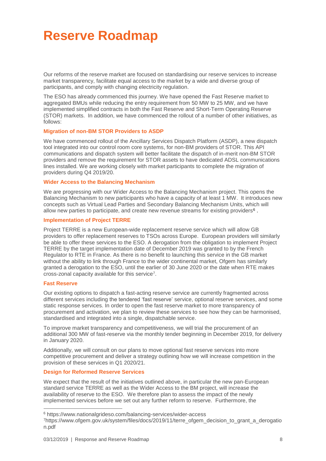### <span id="page-8-0"></span>**Reserve Roadmap**

Our reforms of the reserve market are focused on standardising our reserve services to increase market transparency, facilitate equal access to the market by a wide and diverse group of participants, and comply with changing electricity regulation.

The ESO has already commenced this journey. We have opened the Fast Reserve market to aggregated BMUs while reducing the entry requirement from 50 MW to 25 MW, and we have implemented simplified contracts in both the Fast Reserve and Short-Term Operating Reserve (STOR) markets. In addition, we have commenced the rollout of a number of other initiatives, as follows:

#### **Migration of non-BM STOR Providers to ASDP**

We have commenced rollout of the Ancillary Services Dispatch Platform (ASDP), a new dispatch tool integrated into our control room core systems, for non-BM providers of STOR. This API communications and dispatch system will better facilitate the dispatch of in-merit non-BM STOR providers and remove the requirement for STOR assets to have dedicated ADSL communications lines installed. We are working closely with market participants to complete the migration of providers during Q4 2019/20.

#### **Wider Access to the Balancing Mechanism**

We are progressing with our Wider Access to the Balancing Mechanism project. This opens the Balancing Mechanism to new participants who have a capacity of at least 1 MW. It introduces new concepts such as Virtual Lead Parties and Secondary Balancing Mechanism Units, which will allow new parties to participate, and create new revenue streams for existing providers<sup>6</sup>.

#### **Implementation of Project TERRE**

Project TERRE is a new European-wide replacement reserve service which will allow GB providers to offer replacement reserves to TSOs across Europe. European providers will similarly be able to offer these services to the ESO. A derogation from the obligation to implement Project TERRE by the target implementation date of December 2019 was granted to by the French Regulator to RTE in France. As there is no benefit to launching this service in the GB market without the ability to link through France to the wider continental market, Ofgem has similarly granted a derogation to the ESO, until the earlier of 30 June 2020 or the date when RTE makes cross-zonal capacity available for this service<sup>7</sup> .

#### **Fast Reserve**

 $\overline{a}$ 

Our existing options to dispatch a fast-acting reserve service are currently fragmented across different services including the tendered 'fast reserve' service, optional reserve services, and some static response services. In order to open the fast reserve market to more transparency of procurement and activation, we plan to review these services to see how they can be harmonised, standardised and integrated into a single, dispatchable service.

To improve market transparency and competitiveness, we will trial the procurement of an additional 300 MW of fast-reserve via the monthly tender beginning in December 2019, for delivery in January 2020.

Additionally, we will consult on our plans to move optional fast reserve services into more competitive procurement and deliver a strategy outlining how we will increase competition in the provision of these services in Q1 2020/21.

#### **Design for Reformed Reserve Services**

We expect that the result of the initiatives outlined above, in particular the new pan-European standard service TERRE as well as the Wider Access to the BM project, will increase the availability of reserve to the ESO. We therefore plan to assess the impact of the newly implemented services before we set out any further reform to reserve. Furthermore, the

<sup>6</sup> https://www.nationalgrideso.com/balancing-services/wider-access

<sup>7</sup>https://www.ofgem.gov.uk/system/files/docs/2019/11/terre\_ofgem\_decision\_to\_grant\_a\_derogatio n.pdf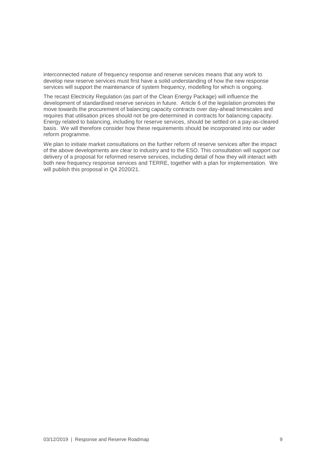interconnected nature of frequency response and reserve services means that any work to develop new reserve services must first have a solid understanding of how the new response services will support the maintenance of system frequency, modelling for which is ongoing.

The recast Electricity Regulation (as part of the Clean Energy Package) will influence the development of standardised reserve services in future. Article 6 of the legislation promotes the move towards the procurement of balancing capacity contracts over day-ahead timescales and requires that utilisation prices should not be pre-determined in contracts for balancing capacity. Energy related to balancing, including for reserve services, should be settled on a pay-as-cleared basis. We will therefore consider how these requirements should be incorporated into our wider reform programme.

We plan to initiate market consultations on the further reform of reserve services after the impact of the above developments are clear to industry and to the ESO. This consultation will support our delivery of a proposal for reformed reserve services, including detail of how they will interact with both new frequency response services and TERRE, together with a plan for implementation. We will publish this proposal in Q4 2020/21.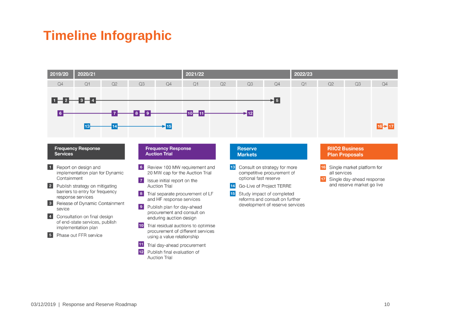### **Timeline Infographic**

<span id="page-10-0"></span>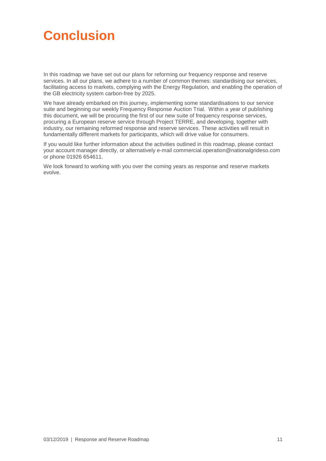### <span id="page-11-0"></span>**Conclusion**

In this roadmap we have set out our plans for reforming our frequency response and reserve services. In all our plans, we adhere to a number of common themes: standardising our services, facilitating access to markets, complying with the Energy Regulation, and enabling the operation of the GB electricity system carbon-free by 2025.

We have already embarked on this journey, implementing some standardisations to our service suite and beginning our weekly Frequency Response Auction Trial. Within a year of publishing this document, we will be procuring the first of our new suite of frequency response services, procuring a European reserve service through Project TERRE, and developing, together with industry, our remaining reformed response and reserve services. These activities will result in fundamentally different markets for participants, which will drive value for consumers.

If you would like further information about the activities outlined in this roadmap, please contact your account manager directly, or alternatively e-mail commercial.operation@nationalgrideso.com or phone 01926 654611.

We look forward to working with you over the coming years as response and reserve markets evolve.